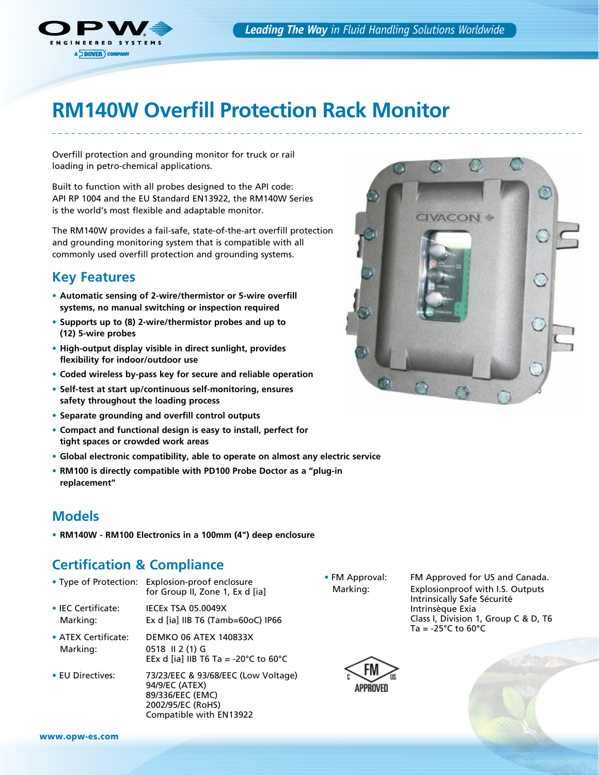

# **RM140W Overfill Protection Rack Monitor**

Overfill protection and grounding monitor for truck or rail loading in petro-chemical applications.

Built to function with all probes designed to the API code: API RP 1004 and the EU Standard EN13922, the RM140W Series is the world's most flexible and adaptable monitor.

The RM140W provides a fail-safe, state-of-the-art overfill protection and grounding monitoring system that is compatible with all commonly used overfill protection and grounding systems.

#### **Key Features**

- **Automatic sensing of 2-wire/thermistor or 5-wire overfill systems, no manual switching or inspection required**
- **Supports up to (8) 2-wire/thermistor probes and up to (12) 5-wire probes**
- **High-output display visible in direct sunlight, provides flexibility for indoor/outdoor use**
- **Coded wireless by-pass key for secure and reliable operation**
- **Self-test at start up/continuous self-monitoring, ensures safety throughout the loading process**
- **Separate grounding and overfill control outputs**
- **Compact and functional design is easy to install, perfect for tight spaces or crowded work areas**
- **Global electronic compatibility, able to operate on almost any electric service**
- **RM100 is directly compatible with PD100 Probe Doctor as a "plug-in replacement"**

#### **Models**

• **RM140W - RM100 Electronics in a 100mm (4") deep enclosure**

### **Certification & Compliance**

- Type of Protection: Explosion-proof enclosure for Group II, Zone 1, Ex d [ia]
- IEC Certificate: IECEx TSA 05.0049X Marking: Ex d [ia] IIB T6 (Tamb=60oC) IP66
- ATEX Certificate: DEMKO 06 ATEX 140833X Marking: 0518 II 2 (1) G EEx d [ia] IIB T6 Ta = -20 $^{\circ}$ C to 60 $^{\circ}$ C
- EU Directives: 73/23/EEC & 93/68/EEC (Low Voltage) 94/9/EC (ATEX) 89/336/EEC (EMC) 2002/95/EC (RoHS) Compatible with EN13922

 • FM Approval: FM Approved for US and Canada. Marking: Explosionproof with I.S. Outputs Intrinsically Safe Sécurité Intrinsèque Exia Class I, Division 1, Group C & D, T6 Ta =  $-25^{\circ}$ C to  $60^{\circ}$ C



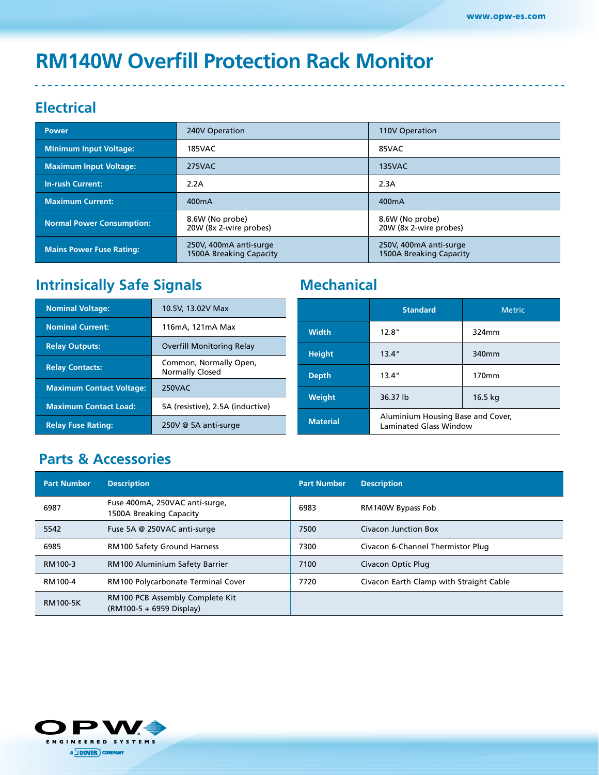# **RM140W Overfill Protection Rack Monitor**

## **Electrical**

| <b>Power</b>                     | 240V Operation<br>110V Operation                  |                                                   |  |
|----------------------------------|---------------------------------------------------|---------------------------------------------------|--|
| <b>Minimum Input Voltage:</b>    | 185VAC                                            | 85VAC                                             |  |
| <b>Maximum Input Voltage:</b>    | 275VAC                                            | <b>135VAC</b>                                     |  |
| <b>In-rush Current:</b>          | 2.2A                                              | 2.3A                                              |  |
| <b>Maximum Current:</b>          | 400 <sub>m</sub> A                                | 400 <sub>m</sub> A                                |  |
| <b>Normal Power Consumption:</b> | 8.6W (No probe)<br>20W (8x 2-wire probes)         | 8.6W (No probe)<br>20W (8x 2-wire probes)         |  |
| <b>Mains Power Fuse Rating:</b>  | 250V, 400mA anti-surge<br>1500A Breaking Capacity | 250V, 400mA anti-surge<br>1500A Breaking Capacity |  |

## **Intrinsically Safe Signals Mechanical**

| <b>Nominal Voltage:</b>         | 10.5V, 13.02V Max                                |                 |
|---------------------------------|--------------------------------------------------|-----------------|
| <b>Nominal Current:</b>         | 116mA, 121mA Max                                 | <b>Width</b>    |
| <b>Relay Outputs:</b>           | Overfill Monitoring Relay                        | <b>Height</b>   |
| <b>Relay Contacts:</b>          | Common, Normally Open,<br><b>Normally Closed</b> | <b>Depth</b>    |
| <b>Maximum Contact Voltage:</b> | <b>250VAC</b>                                    |                 |
| <b>Maximum Contact Load:</b>    | 5A (resistive), 2.5A (inductive)                 | Weight          |
| <b>Relay Fuse Rating:</b>       | 250V @ 5A anti-surge                             | <b>Material</b> |

|                 | <b>Standard</b>                                                    | <b>Metric</b> |  |
|-----------------|--------------------------------------------------------------------|---------------|--|
| <b>Width</b>    | 12.8"                                                              | 324mm         |  |
| <b>Height</b>   | 13.4"                                                              | 340mm         |  |
| <b>Depth</b>    | 13.4"                                                              | 170mm         |  |
| Weight          | 36.37 lb<br>16.5 kg                                                |               |  |
| <b>Material</b> | Aluminium Housing Base and Cover,<br><b>Laminated Glass Window</b> |               |  |

## **Parts & Accessories**

| <b>Part Number</b> | <b>Description</b>                                          | <b>Part Number</b> | <b>Description</b>                      |
|--------------------|-------------------------------------------------------------|--------------------|-----------------------------------------|
| 6987               | Fuse 400mA, 250VAC anti-surge,<br>1500A Breaking Capacity   | 6983               | RM140W Bypass Fob                       |
| 5542               | Fuse 5A @ 250VAC anti-surge                                 | 7500               | Civacon Junction Box                    |
| 6985               | <b>RM100 Safety Ground Harness</b>                          | 7300               | Civacon 6-Channel Thermistor Plug       |
| RM100-3            | <b>RM100 Aluminium Safety Barrier</b>                       | 7100               | Civacon Optic Plug                      |
| RM100-4            | RM100 Polycarbonate Terminal Cover                          | 7720               | Civacon Earth Clamp with Straight Cable |
| <b>RM100-5K</b>    | RM100 PCB Assembly Complete Kit<br>(RM100-5 + 6959 Display) |                    |                                         |

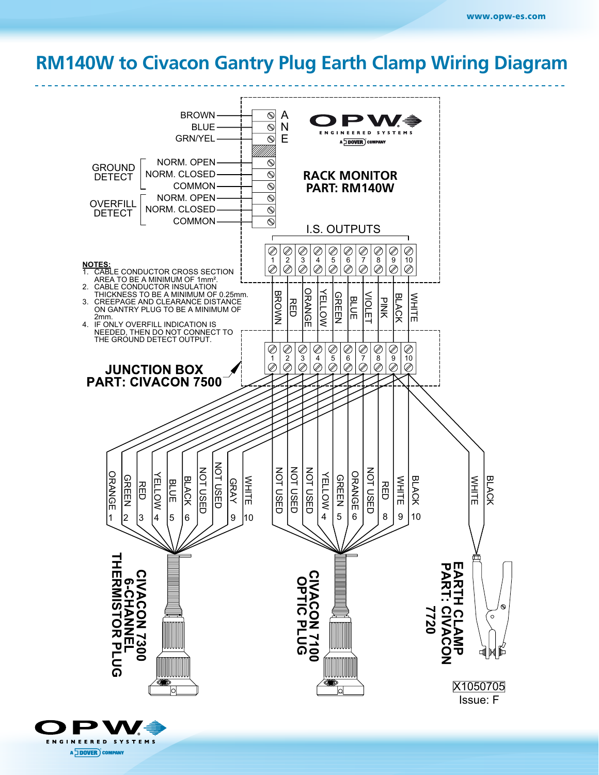## **RM100 TO CIVACO BANTRY PLUG & EARTH CLAMP RM140W to Civacon Gantry Plug Earth Clamp Wiring Diagram**